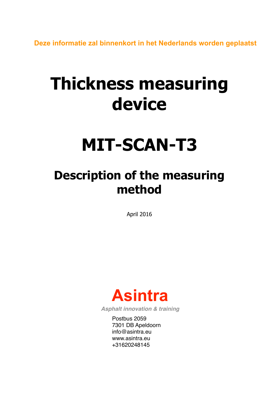**Deze informatie zal binnenkort in het Nederlands worden geplaatst**

# **Thickness measuring device**

## **MIT-SCAN-T3**

## **Description of the measuring method**

April 2016



*Asphalt innovation & training*

Postbus 2059 7301 DB Apeldoorn  $\mathsf{info}@$ asintra.eu www.asintra.eu +31620248145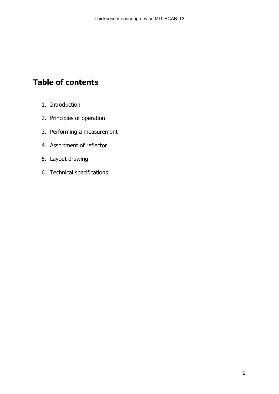## **Table of contents**

- 1. Introduction
- 2. Principles of operation
- 3. Performing a measurement
- 4. Assortment of reflector
- 5. Layout drawing
- 6. Technical specifications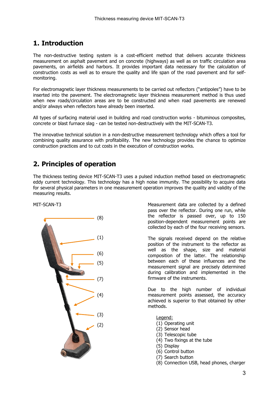## **1. Introduction**

The non-destructive testing system is a cost-efficient method that delivers accurate thickness measurement on asphalt pavement and on concrete (highways) as well as on traffic circulation area pavements, on airfields and harbors. It provides important data necessary for the calculation of construction costs as well as to ensure the quality and life span of the road pavement and for selfmonitoring.

For electromagnetic layer thickness measurements to be carried out reflectors ("antipoles") have to be inserted into the pavement. The electromagnetic layer thickness measurement method is thus used when new roads/circulation areas are to be constructed and when road pavements are renewed and/or always when reflectors have already been inserted.

All types of surfacing material used in building and road construction works - bituminous composites, concrete or blast furnace slag - can be tested non-destructively with the MIT-SCAN-T3.

The innovative technical solution in a non-destructive measurement technology which offers a tool for combining quality assurance with profitability. The new technology provides the chance to optimize construction practices and to cut costs in the execution of construction works.

## **2. Principles of operation**

The thickness testing device MIT-SCAN-T3 uses a pulsed induction method based on electromagnetic eddy current technology. This technology has a high noise immunity. The possibility to acquire data for several physical parameters in one measurement operation improves the quality and validity of the measuring results.



MIT-SCAN-T3 Measurement data are collected by a defined pass over the reflector. During one run, while the reflector is passed over, up to 150 position-dependent measurement points are collected by each of the four receiving sensors.

> The signals received depend on the relative position of the instrument to the reflector as well as the shape, size and material composition of the latter. The relationship between each of these influences and the measurement signal are precisely determined during calibration and implemented in the firmware of the instruments.

> Due to the high number of individual measurement points assessed, the accuracy achieved is superior to that obtained by other methods.

Legend:

- (1) Operating unit
- (2) Sensor head
- (3) Telescopic tube
- (4) Two fixings at the tube
- (5) Display
- (6) Control button
- (7) Search button
- (8) Connection USB, head phones, charger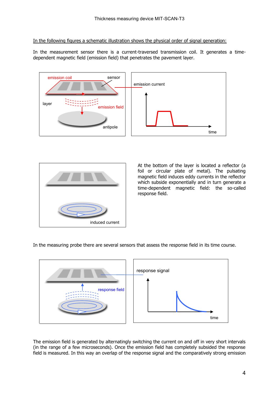In the following figures a schematic illustration shows the physical order of signal generation:

In the measurement sensor there is a current-traversed transmission coil. It generates a timedependent magnetic field (emission field) that penetrates the pavement layer.





At the bottom of the layer is located a reflector (a foil or circular plate of metal). The pulsating magnetic field induces eddy currents in the reflector which subside exponentially and in turn generate a time-dependent magnetic field: the so-called response field.

In the measuring probe there are several sensors that assess the response field in its time course.



The emission field is generated by alternatingly switching the current on and off in very short intervals (in the range of a few microseconds). Once the emission field has completely subsided the response field is measured. In this way an overlap of the response signal and the comparatively strong emission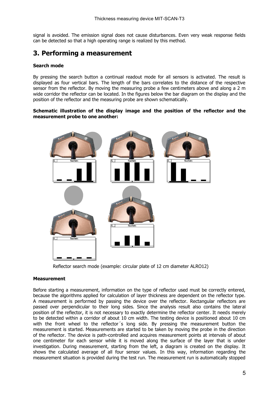signal is avoided. The emission signal does not cause disturbances. Even very weak response fields can be detected so that a high operating range is realized by this method.

### **3. Performing a measurement**

#### **Search mode**

By pressing the search button a continual readout mode for all sensors is activated. The result is displayed as four vertical bars. The length of the bars correlates to the distance of the respective sensor from the reflector. By moving the measuring probe a few centimeters above and along a 2 m wide corridor the reflector can be located. In the figures below the bar diagram on the display and the position of the reflector and the measuring probe are shown schematically.

#### **Schematic illustration of the display image and the position of the reflector and the measurement probe to one another:**



Reflector search mode (example: circular plate of 12 cm diameter ALRO12)

#### **Measurement**

Before starting a measurement, information on the type of reflector used must be correctly entered, because the algorithms applied for calculation of layer thickness are dependent on the reflector type. A measurement is performed by passing the device over the reflector. Rectangular reflectors are passed over perpendicular to their long sides. Since the analysis result also contains the lateral position of the reflector, it is not necessary to exactly determine the reflector center. It needs merely to be detected within a corridor of about 10 cm width. The testing device is positioned about 10 cm with the front wheel to the reflector´s long side. By pressing the measurement button the measurement is started. Measurements are started to be taken by moving the probe in the direction of the reflector. The device is path-controlled and acquires measurement points at intervals of about one centimeter for each sensor while it is moved along the surface of the layer that is under investigation. During measurement, starting from the left, a diagram is created on the display. It shows the calculated average of all four sensor values. In this way, information regarding the measurement situation is provided during the test run. The measurement run is automatically stopped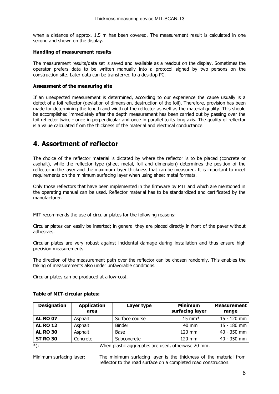when a distance of approx. 1.5 m has been covered. The measurement result is calculated in one second and shown on the display.

#### **Handling of measurement results**

The measurement results/data set is saved and available as a readout on the display. Sometimes the operator prefers data to be written manually into a protocol signed by two persons on the construction site. Later data can be transferred to a desktop PC.

#### **Assessment of the measuring site**

If an unexpected measurement is determined, according to our experience the cause usually is a defect of a foil reflector (deviation of dimension, destruction of the foil). Therefore, provision has been made for determining the length and width of the reflector as well as the material quality. This should be accomplished immediately after the depth measurement has been carried out by passing over the foil reflector twice - once in perpendicular and once in parallel to its long axis. The quality of reflector is a value calculated from the thickness of the material and electrical conductance.

### **4. Assortment of reflector**

The choice of the reflector material is dictated by where the reflector is to be placed (concrete or asphalt), while the reflector type (sheet metal, foil and dimension) determines the position of the reflector in the layer and the maximum layer thickness that can be measured. It is important to meet requirements on the minimum surfacing layer when using sheet metal formats.

Only those reflectors that have been implemented in the firmware by MIT and which are mentioned in the operating manual can be used. Reflector material has to be standardized and certificated by the manufacturer.

MIT recommends the use of circular plates for the following reasons:

Circular plates can easily be inserted; in general they are placed directly in front of the paver without adhesives.

Circular plates are very robust against incidental damage during installation and thus ensure high precision measurements.

The direction of the measurement path over the reflector can be chosen randomly. This enables the taking of measurements also under unfavorable conditions.

Circular plates can be produced at a low-cost.

| <b>Designation</b> | <b>Application</b><br>area | Layer type                                       | <b>Minimum</b><br>surfacing layer | <b>Measurement</b><br>range |
|--------------------|----------------------------|--------------------------------------------------|-----------------------------------|-----------------------------|
| <b>AL RO 07</b>    | Asphalt                    | Surface course                                   | $15 \text{ mm}^*$                 | 15 - 120 mm                 |
| <b>AL RO 12</b>    | Asphalt                    | <b>Binder</b>                                    | $40 \text{ mm}$                   | 15 - 180 mm                 |
| <b>AL RO 30</b>    | Asphalt                    | Base                                             | $120 \text{ mm}$                  | 40 - 350 mm                 |
| <b>ST RO 30</b>    | Concrete                   | Subconcrete                                      | 120 mm                            | 40 - 350 mm                 |
| $*$                |                            | When plastic aggregates are used etherwise 20 mm |                                   |                             |

#### **Table of MIT-circular plates:**

\*): When plastic aggregates are used, otherwise 20 mm.

Minimum surfacing layer: The minimum surfacing layer is the thickness of the material from reflector to the road surface on a completed road construction.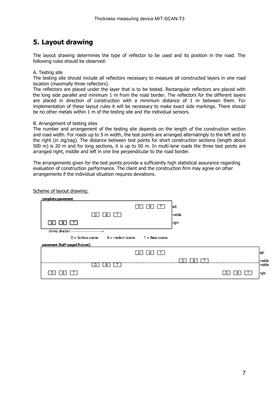## **5. Layout drawing**

The layout drawing determines the type of reflector to be used and its position in the road. The following rules should be observed:

#### A. Testing site

The testing site should include all reflectors necessary to measure all constructed layers in one road location (maximally three reflectors).

The reflectors are placed under the layer that is to be tested. Rectangular reflectors are placed with the long side parallel and minimum 1 m from the road border. The reflectors for the different layers are placed in direction of construction with a minimum distance of 1 m between them. For implementation of these layout rules it will be necessary to make exact side markings. There should be no other metals within 1 m of the testing site and the individual sensors.

#### B. Arrangement of testing sites

The number and arrangement of the testing site depends on the length of the construction section and road width. For roads up to 5 m width, the test points are arranged alternatingly to the left and to the right (in zig/zag). The distance between test points for short construction sections (length about 500 m) is 20 m and for long sections, it is up to 50 m. In multi-lane roads the three test points are arranged right, middle and left in one line perpendicular to the road border.

The arrangements given for the test points provide a sufficiently high statistical assurance regarding evaluation of construction performance. The client and the construction firm may agree on other arrangements if the individual situation requires deviations.

#### Scheme of layout drawing:

| complete pavement                                              |                                     |        |                 |        |  |
|----------------------------------------------------------------|-------------------------------------|--------|-----------------|--------|--|
|                                                                | $\boxed{B}$<br>$\Box$<br>$\sqrt{2}$ | left   |                 |        |  |
| 回国田                                                            |                                     | middle |                 |        |  |
| 回国田                                                            |                                     | right  |                 |        |  |
| driving direction                                              |                                     |        |                 |        |  |
| $D =$ Surface coarse $B =$ medium coarse $T =$ Base coarse     |                                     |        |                 |        |  |
| pavement (half-paged fixture)                                  |                                     |        |                 |        |  |
|                                                                | 回国国                                 |        |                 | ∥eft   |  |
|                                                                |                                     | B      |                 | middle |  |
| 回回口                                                            |                                     |        |                 | middle |  |
| $\boxed{\mathbb{D}}$ $\boxed{\mathbb{B}}$ $\boxed{\mathbb{T}}$ |                                     |        | <b>B</b> T<br>D | night. |  |